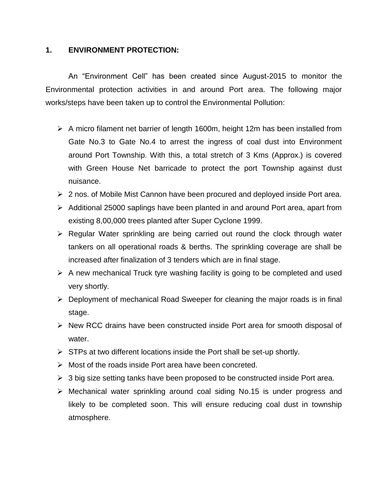## **1. ENVIRONMENT PROTECTION:**

An "Environment Cell" has been created since August-2015 to monitor the Environmental protection activities in and around Port area. The following major works/steps have been taken up to control the Environmental Pollution:

- $\triangleright$  A micro filament net barrier of length 1600m, height 12m has been installed from Gate No.3 to Gate No.4 to arrest the ingress of coal dust into Environment around Port Township. With this, a total stretch of 3 Kms (Approx.) is covered with Green House Net barricade to protect the port Township against dust nuisance.
- $\geq$  2 nos. of Mobile Mist Cannon have been procured and deployed inside Port area.
- $\triangleright$  Additional 25000 saplings have been planted in and around Port area, apart from existing 8,00,000 trees planted after Super Cyclone 1999.
- $\triangleright$  Regular Water sprinkling are being carried out round the clock through water tankers on all operational roads & berths. The sprinkling coverage are shall be increased after finalization of 3 tenders which are in final stage.
- $\triangleright$  A new mechanical Truck tyre washing facility is going to be completed and used very shortly.
- $\triangleright$  Deployment of mechanical Road Sweeper for cleaning the major roads is in final stage.
- $\triangleright$  New RCC drains have been constructed inside Port area for smooth disposal of water.
- $\triangleright$  STPs at two different locations inside the Port shall be set-up shortly.
- $\triangleright$  Most of the roads inside Port area have been concreted.
- $\triangleright$  3 big size setting tanks have been proposed to be constructed inside Port area.
- Mechanical water sprinkling around coal siding No.15 is under progress and likely to be completed soon. This will ensure reducing coal dust in township atmosphere.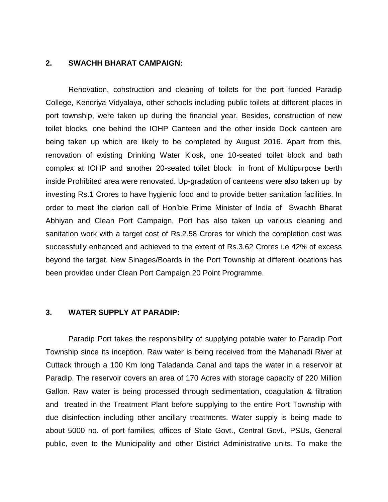## **2. SWACHH BHARAT CAMPAIGN:**

Renovation, construction and cleaning of toilets for the port funded Paradip College, Kendriya Vidyalaya, other schools including public toilets at different places in port township, were taken up during the financial year. Besides, construction of new toilet blocks, one behind the IOHP Canteen and the other inside Dock canteen are being taken up which are likely to be completed by August 2016. Apart from this, renovation of existing Drinking Water Kiosk, one 10-seated toilet block and bath complex at IOHP and another 20-seated toilet block in front of Multipurpose berth inside Prohibited area were renovated. Up-gradation of canteens were also taken up by investing Rs.1 Crores to have hygienic food and to provide better sanitation facilities. In order to meet the clarion call of Hon'ble Prime Minister of India of Swachh Bharat Abhiyan and Clean Port Campaign, Port has also taken up various cleaning and sanitation work with a target cost of Rs.2.58 Crores for which the completion cost was successfully enhanced and achieved to the extent of Rs.3.62 Crores i.e 42% of excess beyond the target. New Sinages/Boards in the Port Township at different locations has been provided under Clean Port Campaign 20 Point Programme.

## **3. WATER SUPPLY AT PARADIP:**

Paradip Port takes the responsibility of supplying potable water to Paradip Port Township since its inception. Raw water is being received from the Mahanadi River at Cuttack through a 100 Km long Taladanda Canal and taps the water in a reservoir at Paradip. The reservoir covers an area of 170 Acres with storage capacity of 220 Million Gallon. Raw water is being processed through sedimentation, coagulation & filtration and treated in the Treatment Plant before supplying to the entire Port Township with due disinfection including other ancillary treatments. Water supply is being made to about 5000 no. of port families, offices of State Govt., Central Govt., PSUs, General public, even to the Municipality and other District Administrative units. To make the